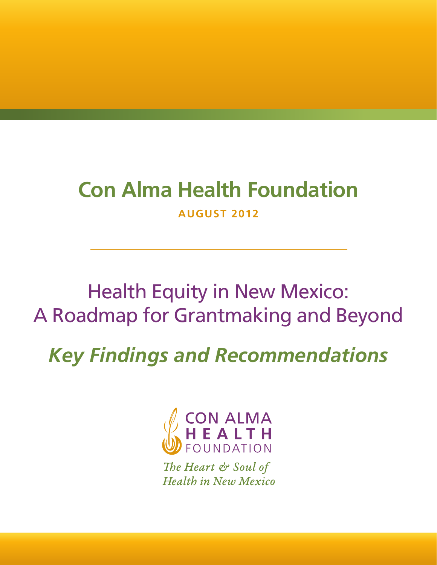# **Con Alma Health Foundation**

**AUGUST 2012**

## Health Equity in New Mexico: A Roadmap for Grantmaking and Beyond

*Key Findings and Recommendations*



The Heart & Soul of **Health in New Mexico**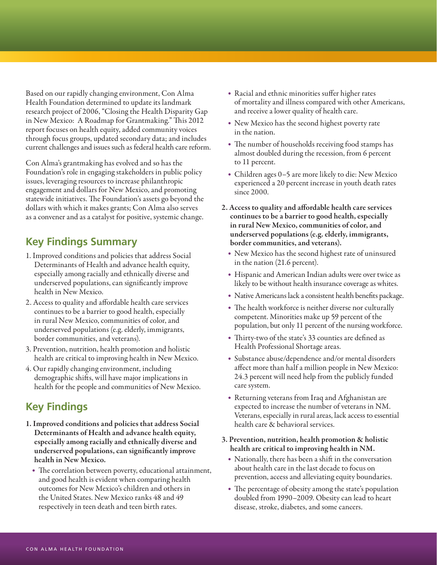Based on our rapidly changing environment, Con Alma Health Foundation determined to update its landmark research project of 2006, "Closing the Health Disparity Gap in New Mexico: A Roadmap for Grantmaking." This 2012 report focuses on health equity, added community voices through focus groups, updated secondary data; and includes current challenges and issues such as federal health care reform.

Con Alma's grantmaking has evolved and so has the Foundation's role in engaging stakeholders in public policy issues, leveraging resources to increase philanthropic engagement and dollars for New Mexico, and promoting statewide initiatives. The Foundation's assets go beyond the dollars with which it makes grants; Con Alma also serves as a convener and as a catalyst for positive, systemic change.

### **Key Findings Summary**

- 1. Improved conditions and policies that address Social Determinants of Health and advance health equity, especially among racially and ethnically diverse and underserved populations, can significantly improve health in New Mexico.
- 2. Access to quality and affordable health care services continues to be a barrier to good health, especially in rural New Mexico, communities of color, and underserved populations (e.g. elderly, immigrants, border communities, and veterans).
- 3. Prevention, nutrition, health promotion and holistic health are critical to improving health in New Mexico.
- 4. Our rapidly changing environment, including demographic shifts, will have major implications in health for the people and communities of New Mexico.

## **Key Findings**

- 1. Improved conditions and policies that address Social Determinants of Health and advance health equity, especially among racially and ethnically diverse and underserved populations, can significantly improve health in New Mexico.
	- The correlation between poverty, educational attainment, and good health is evident when comparing health outcomes for New Mexico's children and others in the United States. New Mexico ranks 48 and 49 respectively in teen death and teen birth rates.
- Racial and ethnic minorities suffer higher rates of mortality and illness compared with other Americans, and receive a lower quality of health care.
- New Mexico has the second highest poverty rate in the nation.
- The number of households receiving food stamps has almost doubled during the recession, from 6 percent to 11 percent.
- Children ages 0–5 are more likely to die: New Mexico experienced a 20 percent increase in youth death rates since 2000.
- 2. Access to quality and affordable health care services continues to be a barrier to good health, especially in rural New Mexico, communities of color, and underserved populations (e.g. elderly, immigrants, border communities, and veterans).
	- New Mexico has the second highest rate of uninsured in the nation (21.6 percent).
	- Hispanic and American Indian adults were over twice as likely to be without health insurance coverage as whites.
	- Native Americans lack a consistent health benefits package.
	- The health workforce is neither diverse nor culturally competent. Minorities make up 59 percent of the population, but only 11 percent of the nursing workforce.
	- Thirty-two of the state's 33 counties are defined as Health Professional Shortage areas.
	- Substance abuse/dependence and/or mental disorders affect more than half a million people in New Mexico: 24.3 percent will need help from the publicly funded care system.
	- Returning veterans from Iraq and Afghanistan are expected to increase the number of veterans in NM. Veterans, especially in rural areas, lack access to essential health care & behavioral services.

#### 3. Prevention, nutrition, health promotion & holistic health are critical to improving health in NM.

- Nationally, there has been a shift in the conversation about health care in the last decade to focus on prevention, access and alleviating equity boundaries.
- The percentage of obesity among the state's population doubled from 1990–2009. Obesity can lead to heart disease, stroke, diabetes, and some cancers.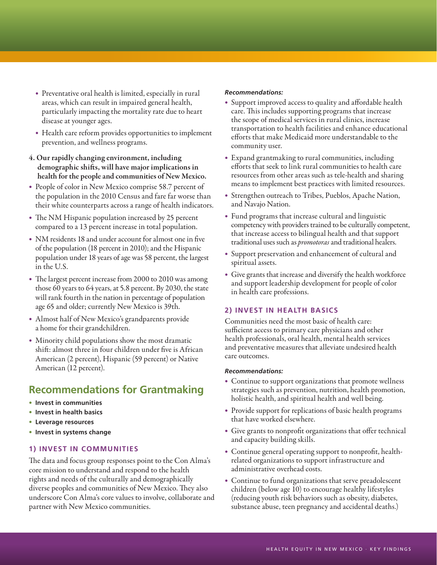- Preventative oral health is limited, especially in rural areas, which can result in impaired general health, particularly impacting the mortality rate due to heart disease at younger ages.
- Health care reform provides opportunities to implement prevention, and wellness programs.
- 4. Our rapidly changing environment, including demographic shifts, will have major implications in health for the people and communities of New Mexico.
- People of color in New Mexico comprise 58.7 percent of the population in the 2010 Census and fare far worse than their white counterparts across a range of health indicators.
- The NM Hispanic population increased by 25 percent compared to a 13 percent increase in total population.
- NM residents 18 and under account for almost one in five of the population (18 percent in 2010); and the Hispanic population under 18 years of age was 58 percent, the largest in the U.S.
- The largest percent increase from 2000 to 2010 was among those 60 years to 64 years, at 5.8 percent. By 2030, the state will rank fourth in the nation in percentage of population age 65 and older; currently New Mexico is 39th.
- Almost half of New Mexico's grandparents provide a home for their grandchildren.
- • Minority child populations show the most dramatic shift: almost three in four children under five is African American (2 percent), Hispanic (59 percent) or Native American (12 percent).

## **Recommendations for Grantmaking**

- **Invest in communities**
- **Invest in health basics**
- **Leverage resources**
- **Invest in systems change**

#### **1) INVEST IN COMMUNITIES**

The data and focus group responses point to the Con Alma's core mission to understand and respond to the health rights and needs of the culturally and demographically diverse peoples and communities of New Mexico. They also underscore Con Alma's core values to involve, collaborate and partner with New Mexico communities.

#### *Recommendations:*

- Support improved access to quality and affordable health care. This includes supporting programs that increase the scope of medical services in rural clinics, increase transportation to health facilities and enhance educational efforts that make Medicaid more understandable to the community user.
- Expand grantmaking to rural communities, including efforts that seek to link rural communities to health care resources from other areas such as tele-health and sharing means to implement best practices with limited resources.
- • Strengthen outreach to Tribes, Pueblos, Apache Nation, and Navajo Nation.
- Fund programs that increase cultural and linguistic competency with providers trained to be culturally competent, that increase access to bilingual health and that support traditional uses such as *promotoras* and traditional healers.
- • Support preservation and enhancement of cultural and spiritual assets.
- Give grants that increase and diversify the health workforce and support leadership development for people of color in health care professions.

#### **2) INVEST IN HEALTH BASICS**

Communities need the most basic of health care: sufficient access to primary care physicians and other health professionals, oral health, mental health services and preventative measures that alleviate undesired health care outcomes.

#### *Recommendations:*

- Continue to support organizations that promote wellness strategies such as prevention, nutrition, health promotion, holistic health, and spiritual health and well being.
- Provide support for replications of basic health programs that have worked elsewhere.
- Give grants to nonprofit organizations that offer technical and capacity building skills.
- Continue general operating support to nonprofit, healthrelated organizations to support infrastructure and administrative overhead costs.
- Continue to fund organizations that serve preadolescent children (below age 10) to encourage healthy lifestyles (reducing youth risk behaviors such as obesity, diabetes, substance abuse, teen pregnancy and accidental deaths.)